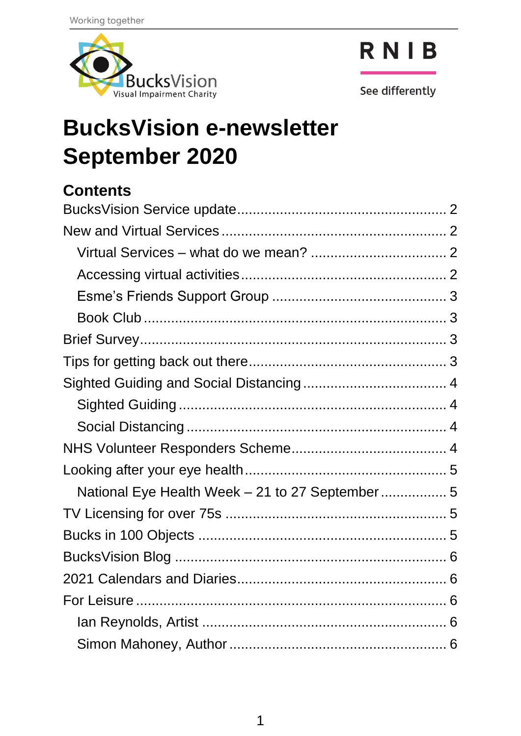



See differently

# **BucksVision e-newsletter September 2020**

#### **Contents**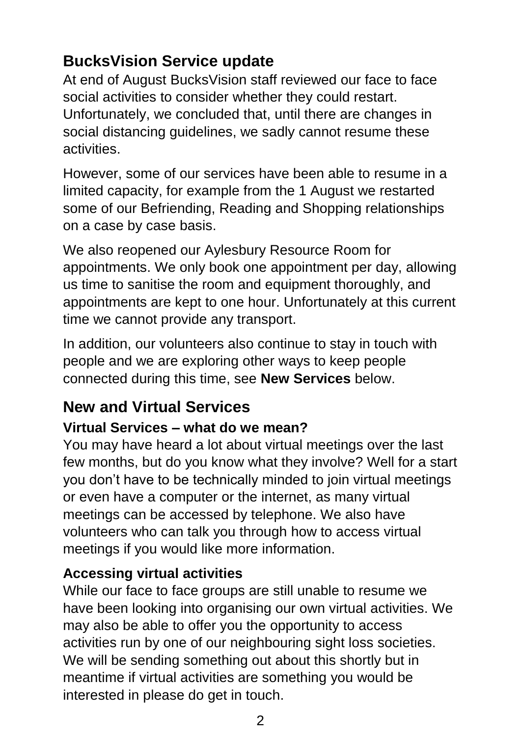## <span id="page-1-0"></span>**BucksVision Service update**

At end of August BucksVision staff reviewed our face to face social activities to consider whether they could restart. Unfortunately, we concluded that, until there are changes in social distancing guidelines, we sadly cannot resume these activities.

However, some of our services have been able to resume in a limited capacity, for example from the 1 August we restarted some of our Befriending, Reading and Shopping relationships on a case by case basis.

We also reopened our Aylesbury Resource Room for appointments. We only book one appointment per day, allowing us time to sanitise the room and equipment thoroughly, and appointments are kept to one hour. Unfortunately at this current time we cannot provide any transport.

In addition, our volunteers also continue to stay in touch with people and we are exploring other ways to keep people connected during this time, see **New Services** below.

# <span id="page-1-1"></span>**New and Virtual Services**

#### <span id="page-1-2"></span>**Virtual Services – what do we mean?**

You may have heard a lot about virtual meetings over the last few months, but do you know what they involve? Well for a start you don't have to be technically minded to join virtual meetings or even have a computer or the internet, as many virtual meetings can be accessed by telephone. We also have volunteers who can talk you through how to access virtual meetings if you would like more information.

#### <span id="page-1-3"></span>**Accessing virtual activities**

While our face to face groups are still unable to resume we have been looking into organising our own virtual activities. We may also be able to offer you the opportunity to access activities run by one of our neighbouring sight loss societies. We will be sending something out about this shortly but in meantime if virtual activities are something you would be interested in please do get in touch.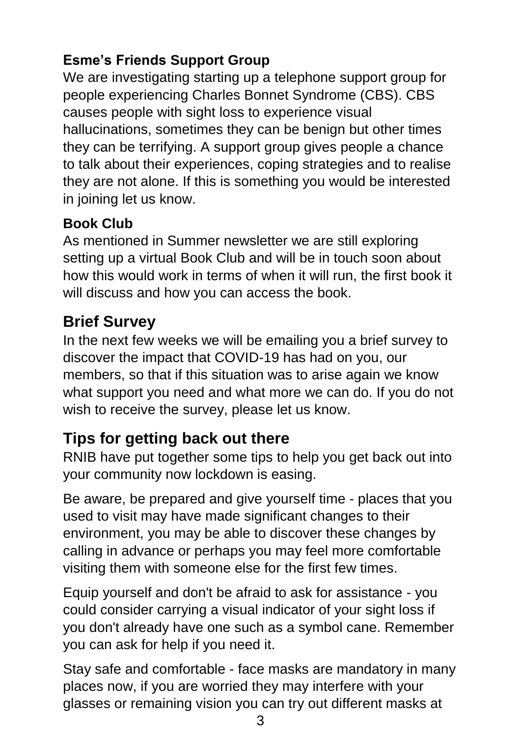## <span id="page-2-0"></span>**Esme's Friends Support Group**

We are investigating starting up a telephone support group for people experiencing Charles Bonnet Syndrome (CBS). CBS causes people with sight loss to experience visual hallucinations, sometimes they can be benign but other times they can be terrifying. A support group gives people a chance to talk about their experiences, coping strategies and to realise they are not alone. If this is something you would be interested in joining let us know.

#### <span id="page-2-1"></span>**Book Club**

As mentioned in Summer newsletter we are still exploring setting up a virtual Book Club and will be in touch soon about how this would work in terms of when it will run, the first book it will discuss and how you can access the book.

# <span id="page-2-2"></span>**Brief Survey**

In the next few weeks we will be emailing you a brief survey to discover the impact that COVID-19 has had on you, our members, so that if this situation was to arise again we know what support you need and what more we can do. If you do not wish to receive the survey, please let us know.

# <span id="page-2-3"></span>**Tips for getting back out there**

RNIB have put together some tips to help you get back out into your community now lockdown is easing.

Be aware, be prepared and give yourself time - places that you used to visit may have made significant changes to their environment, you may be able to discover these changes by calling in advance or perhaps you may feel more comfortable visiting them with someone else for the first few times.

Equip yourself and don't be afraid to ask for assistance - you could consider carrying a visual indicator of your sight loss if you don't already have one such as a symbol cane. Remember you can ask for help if you need it.

Stay safe and comfortable - face masks are mandatory in many places now, if you are worried they may interfere with your glasses or remaining vision you can try out different masks at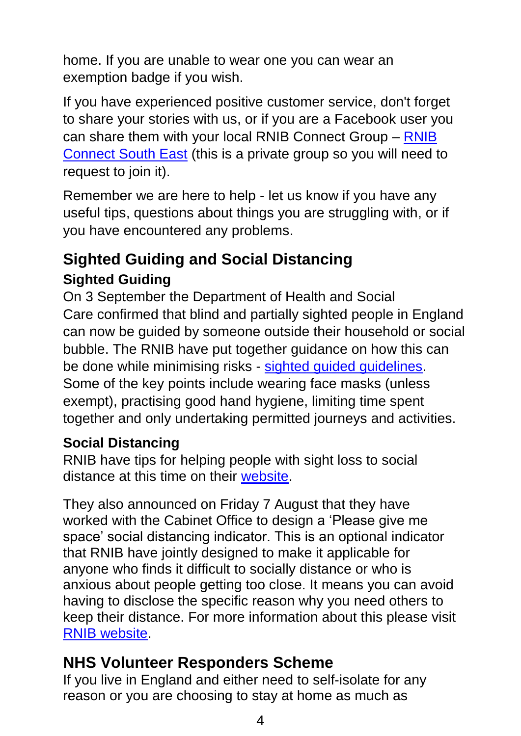home. If you are unable to wear one you can wear an exemption badge if you wish.

If you have experienced positive customer service, don't forget to share your stories with us, or if you are a Facebook user you can share them with your local RNIB Connect Group – [RNIB](https://www.facebook.com/groups/RNIBConnectsoutheast)  [Connect South East](https://www.facebook.com/groups/RNIBConnectsoutheast) (this is a private group so you will need to request to join it).

Remember we are here to help - let us know if you have any useful tips, questions about things you are struggling with, or if you have encountered any problems.

## <span id="page-3-0"></span>**Sighted Guiding and Social Distancing Sighted Guiding**

<span id="page-3-1"></span>On 3 September the Department of Health and Social Care confirmed that blind and partially sighted people in England can now be guided by someone outside their household or social bubble. The RNIB have put together guidance on how this can be done while minimising risks - [sighted guided guidelines.](http://rnib.in/SightedGuiding) Some of the key points include wearing face masks (unless exempt), practising good hand hygiene, limiting time spent together and only undertaking permitted journeys and activities.

#### <span id="page-3-2"></span>**Social Distancing**

RNIB have tips for helping people with sight loss to social distance at this time on their [website.](https://www.rnib.org.uk/campaigning/social-distancing)

They also announced on Friday 7 August that they have worked with the Cabinet Office to design a 'Please give me space' social distancing indicator. This is an optional indicator that RNIB have jointly designed to make it applicable for anyone who finds it difficult to socially distance or who is anxious about people getting too close. It means you can avoid having to disclose the specific reason why you need others to keep their distance. For more information about this please visit [RNIB website.](https://www.rnib.org.uk/news/campaigning/please-give-me-space-social-distance-tool?fbclid=IwAR0USBRBlV1P2sQts66IOvljpgXfTo8pDfM41Ll3DzXJNX1CNjZTfs4DCfE)

#### <span id="page-3-3"></span>**NHS Volunteer Responders Scheme**

If you live in England and either need to self-isolate for any reason or you are choosing to stay at home as much as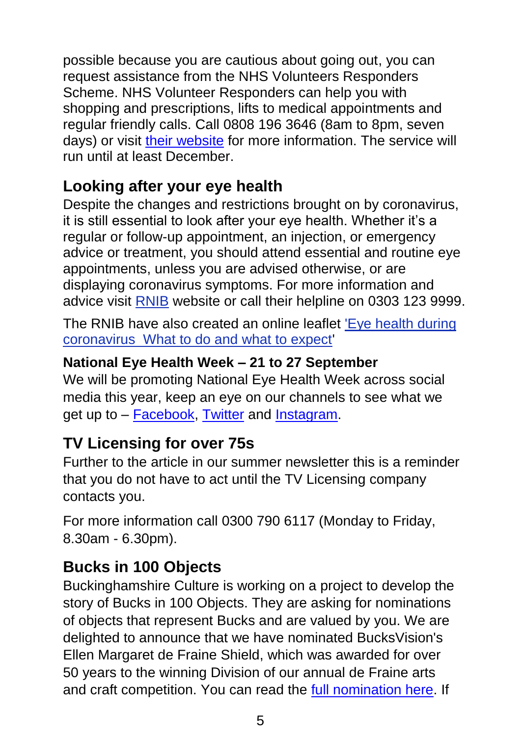possible because you are cautious about going out, you can request assistance from the NHS Volunteers Responders Scheme. NHS Volunteer Responders can help you with shopping and prescriptions, lifts to medical appointments and regular friendly calls. Call 0808 196 3646 (8am to 8pm, seven days) or visit [their website](https://nhsvolunteerresponders.org.uk/) for more information. The service will run until at least December.

## <span id="page-4-0"></span>**Looking after your eye health**

Despite the changes and restrictions brought on by coronavirus, it is still essential to look after your eye health. Whether it's a regular or follow-up appointment, an injection, or emergency advice or treatment, you should attend essential and routine eye appointments, unless you are advised otherwise, or are displaying coronavirus symptoms. For more information and advice visit [RNIB](https://www.rnib.org.uk/sight-loss-advice/eye-health/eye-health-and-appointments-during-coronavirus) website or call their helpline on 0303 123 9999.

The RNIB have also created an online leaflet ['Eye health during](https://www.rnib.org.uk/sites/default/files/eye-health-coronavirus-tips-2.pdf)  [coronavirus What to do and what to expect'](https://www.rnib.org.uk/sites/default/files/eye-health-coronavirus-tips-2.pdf)

#### <span id="page-4-1"></span>**National Eye Health Week – 21 to 27 September**

We will be promoting National Eye Health Week across social media this year, keep an eye on our channels to see what we get up to – [Facebook,](https://www.facebook.com/bucksvision) [Twitter](https://twitter.com/BucksVision) and [Instagram.](http://www.instagram.com/bucksvision143)

#### <span id="page-4-2"></span>**TV Licensing for over 75s**

Further to the article in our summer newsletter this is a reminder that you do not have to act until the TV Licensing company contacts you.

For more information call 0300 790 6117 (Monday to Friday, 8.30am - 6.30pm).

## <span id="page-4-3"></span>**Bucks in 100 Objects**

Buckinghamshire Culture is working on a project to develop the story of Bucks in 100 Objects. They are asking for nominations of objects that represent Bucks and are valued by you. We are delighted to announce that we have nominated BucksVision's Ellen Margaret de Fraine Shield, which was awarded for over 50 years to the winning Division of our annual de Fraine arts and craft competition. You can read the [full nomination here.](https://bit.ly/3ivtkev) If